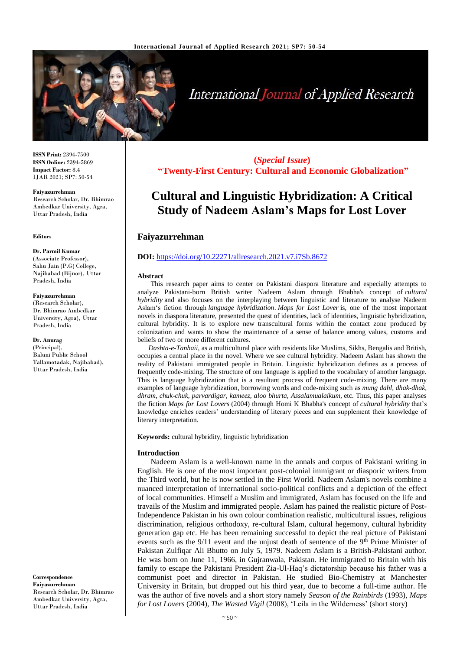

# **International Journal of Applied Research**

**ISSN Print:** 2394-7500 **ISSN Online:** 2394-5869 **Impact Factor:** 8.4 IJAR 2021; SP7: 50-54

#### **Faiyazurrehman**

Research Scholar, Dr. Bhimrao Ambedkar University, Agra, Uttar Pradesh, India

#### **Editors**

**Dr. Parmil Kumar** (Associate Professor), Sahu Jain (P.G) College, Najibabad (Bijnor), Uttar Pradesh, India

#### **Faiyazurrehman**

(Research Scholar), Dr. Bhimrao Ambedkar University, Agra), Uttar Pradesh, India

#### **Dr. Anurag**

(Principal), Baluni Public School Tallamotadak, Najibabad), Uttar Pradesh, India

**Correspondence Faiyazurrehman** Research Scholar, Dr. Bhimrao Ambedkar University, Agra, Uttar Pradesh, India

**(***Special Issue***) "Twenty-First Century: Cultural and Economic Globalization"**

# **Cultural and Linguistic Hybridization: A Critical Study of Nadeem Aslam's Maps for Lost Lover**

# **Faiyazurrehman**

#### **DOI:** <https://doi.org/10.22271/allresearch.2021.v7.i7Sb.8672>

#### **Abstract**

This research paper aims to center on Pakistani diaspora literature and especially attempts to analyze Pakistani-born British writer Nadeem Aslam through Bhabha's concept of *cultural hybridity* and also focuses on the interplaying between linguistic and literature to analyse Nadeem Aslam's fiction through *language hybridization*. *Maps for Lost Lover* is, one of the most important novels in diaspora literature, presented the quest of identities, lack of identities, linguistic hybridization, cultural hybridity. It is to explore new transcultural forms within the contact zone produced by colonization and wants to show the maintenance of a sense of balance among values, customs and beliefs of two or more different cultures.

*Dashta-e-Tanhaii*, as a multicultural place with residents like Muslims, Sikhs, Bengalis and British, occupies a central place in the novel. Where we see cultural hybridity. Nadeem Aslam has shown the reality of Pakistani immigrated people in Britain. Linguistic hybridization defines as a process of frequently code-mixing. The structure of one language is applied to the vocabulary of another language. This is language hybridization that is a resultant process of frequent code-mixing. There are many examples of language hybridization, borrowing words and code-mixing such as *mung dahl, dhak-dhak, dhram, chuk-chuk, parvardigar, kameez, aloo bhurta, Assalamualaikum,* etc. Thus, this paper analyses the fiction *Maps for Lost Lovers* (2004) through Homi K Bhabha's concept of *cultural hybridity* that's knowledge enriches readers' understanding of literary pieces and can supplement their knowledge of literary interpretation.

**Keywords:** cultural hybridity, linguistic hybridization

#### **Introduction**

Nadeem Aslam is a well-known name in the annals and corpus of Pakistani writing in English. He is one of the most important post-colonial immigrant or diasporic writers from the Third world, but he is now settled in the First World. Nadeem Aslam's novels combine a nuanced interpretation of international socio-political conflicts and a depiction of the effect of local communities. Himself a Muslim and immigrated, Aslam has focused on the life and travails of the Muslim and immigrated people. Aslam has pained the realistic picture of Post-Independence Pakistan in his own colour combination realistic, multicultural issues, religious discrimination, religious orthodoxy, re-cultural Islam, cultural hegemony, cultural hybridity generation gap etc. He has been remaining successful to depict the real picture of Pakistani events such as the  $9/11$  event and the unjust death of sentence of the  $9<sup>th</sup>$  Prime Minister of Pakistan Zulfiqar Ali Bhutto on July 5, 1979. Nadeem Aslam is a British-Pakistani author. He was born on June 11, 1966, in Gujranwala, Pakistan. He immigrated to Britain with his family to escape the Pakistani President Zia-Ul-Haq's dictatorship because his father was a communist poet and director in Pakistan. He studied Bio-Chemistry at Manchester University in Britain, but dropped out his third year, due to become a full-time author. He was the author of five novels and a short story namely *Season of the Rainbirds* (1993), *Maps for Lost Lovers* (2004), *The Wasted Vigil* (2008), 'Leila in the Wilderness' (short story)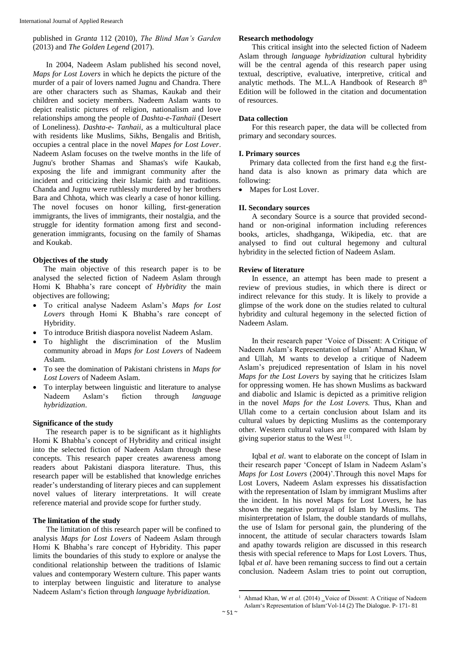# published in *Granta* 112 (2010), *The Blind Man's Garden* (2013) and *The Golden Legend* (2017).

In 2004, Nadeem Aslam published his second novel, *Maps for Lost Lovers* in which he depicts the picture of the murder of a pair of lovers named Jugnu and Chandra. There are other characters such as Shamas, Kaukab and their children and society members. Nadeem Aslam wants to depict realistic pictures of religion, nationalism and love relationships among the people of *Dashta-e-Tanhaii* (Desert of Loneliness). *Dashta-e- Tanhaii*, as a multicultural place with residents like Muslims, Sikhs, Bengalis and British, occupies a central place in the novel *Mapes for Lost Lover*. Nadeem Aslam focuses on the twelve months in the life of Jugnu's brother Shamas and Shamas's wife Kaukab, exposing the life and immigrant community after the incident and criticizing their Islamic faith and traditions. Chanda and Jugnu were ruthlessly murdered by her brothers Bara and Chhota, which was clearly a case of honor killing. The novel focuses on honor killing, first-generation immigrants, the lives of immigrants, their nostalgia, and the struggle for identity formation among first and secondgeneration immigrants, focusing on the family of Shamas and Koukab.

# **Objectives of the study**

The main objective of this research paper is to be analysed the selected fiction of Nadeem Aslam through Homi K Bhabha's rare concept of *Hybridity* the main objectives are following;

- To critical analyse Nadeem Aslam's *Maps for Lost Lovers* through Homi K Bhabha's rare concept of Hybridity.
- To introduce British diaspora novelist Nadeem Aslam.
- To highlight the discrimination of the Muslim community abroad in *Maps for Lost Lovers* of Nadeem Aslam.
- To see the domination of Pakistani christens in *Maps for Lost Lovers* of Nadeem Aslam.
- To interplay between linguistic and literature to analyse Nadeem Aslam's fiction through *language hybridization*.

#### **Significance of the study**

The research paper is to be significant as it highlights Homi K Bhabha's concept of Hybridity and critical insight into the selected fiction of Nadeem Aslam through these concepts. This research paper creates awareness among readers about Pakistani diaspora literature. Thus, this research paper will be established that knowledge enriches reader's understanding of literary pieces and can supplement novel values of literary interpretations. It will create reference material and provide scope for further study.

#### **The limitation of the study**

The limitation of this research paper will be confined to analysis *Maps for Lost Lovers* of Nadeem Aslam through Homi K Bhabha's rare concept of Hybridity. This paper limits the boundaries of this study to explore or analyse the conditional relationship between the traditions of Islamic values and contemporary Western culture. This paper wants to interplay between linguistic and literature to analyse Nadeem Aslam's fiction through *language hybridization.*

#### **Research methodology**

This critical insight into the selected fiction of Nadeem Aslam through *language hybridization* cultural hybridity will be the central agenda of this research paper using textual, descriptive, evaluative, interpretive, critical and analytic methods. The M.L.A Handbook of Research 8<sup>th</sup> Edition will be followed in the citation and documentation of resources.

#### **Data collection**

For this research paper, the data will be collected from primary and secondary sources.

#### **I. Primary sources**

Primary data collected from the first hand e.g the firsthand data is also known as primary data which are following:

• Mapes for Lost Lover.

# **II. Secondary sources**

A secondary Source is a source that provided secondhand or non-original information including references books, articles, shadhganga, Wikipedia, etc. that are analysed to find out cultural hegemony and cultural hybridity in the selected fiction of Nadeem Aslam.

#### **Review of literature**

In essence, an attempt has been made to present a review of previous studies, in which there is direct or indirect relevance for this study. It is likely to provide a glimpse of the work done on the studies related to cultural hybridity and cultural hegemony in the selected fiction of Nadeem Aslam.

In their research paper 'Voice of Dissent: A Critique of Nadeem Aslam's Representation of Islam' Ahmad Khan, W and Ullah, M wants to develop a critique of Nadeem Aslam's prejudiced representation of Islam in his novel *Maps for the Lost Lovers* by saying that he criticizes Islam for oppressing women. He has shown Muslims as backward and diabolic and Islamic is depicted as a primitive religion in the novel *Maps for the Lost Lovers.* Thus, Khan and Ullah come to a certain conclusion about Islam and its cultural values by depicting Muslims as the contemporary other. Western cultural values are compared with Islam by giving superior status to the West  $^{[1]}$ .

Iqbal *et al*. want to elaborate on the concept of Islam in their research paper 'Concept of Islam in Nadeem Aslam's *Maps for Lost Lovers* (2004)'.Through this novel Maps for Lost Lovers, Nadeem Aslam expresses his dissatisfaction with the representation of Islam by immigrant Muslims after the incident. In his novel Maps for Lost Lovers, he has shown the negative portrayal of Islam by Muslims. The misinterpretation of Islam, the double standards of mullahs, the use of Islam for personal gain, the plundering of the innocent, the attitude of secular characters towards Islam and apathy towards religion are discussed in this research thesis with special reference to Maps for Lost Lovers. Thus, Iqbal *et al*. have been remaning success to find out a certain conclusion. Nadeem Aslam tries to point out corruption,

 $\overline{a}$ <sup>1</sup> Ahmad Khan, W *et al*. (2014) ‗Voice of Dissent: A Critique of Nadeem Aslam's Representation of Islam'Vol-14 (2) The Dialogue. P- 171- 81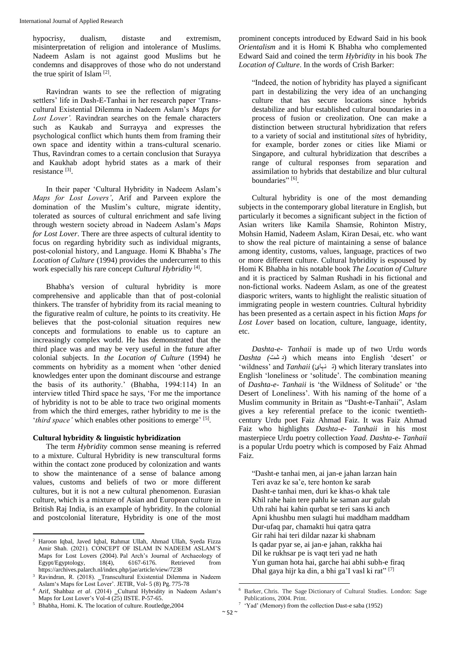hypocrisy, dualism, distaste and extremism, misinterpretation of religion and intolerance of Muslims. Nadeem Aslam is not against good Muslims but he condemns and disapproves of those who do not understand the true spirit of Islam<sup>[2]</sup>.

Ravindran wants to see the reflection of migrating settlers' life in Dash-E-Tanhai in her research paper 'Transcultural Existential Dilemma in Nadeem Aslam's *Maps for Lost Lover'.* Ravindran searches on the female characters such as Kaukab and Surrayya and expresses the psychological conflict which hunts them from framing their own space and identity within a trans-cultural scenario. Thus, Ravindran comes to a certain conclusion that Surayya and Kaukhab adopt hybrid states as a mark of their resistance<sup>[3]</sup>.

In their paper 'Cultural Hybridity in Nadeem Aslam's *Maps for Lost Lovers'*, Arif and Parveen explore the domination of the Muslim's culture, migrate identity, tolerated as sources of cultural enrichment and safe living through western society abroad in Nadeem Aslam's *Maps for Lost Lover*. There are three aspects of cultural identity to focus on regarding hybridity such as individual migrants, post-colonial history, and Language. Homi K Bhabha's *The Location of Culture* (1994) provides the undercurrent to this work especially his rare concept *Cultural Hybridity* [4] .

Bhabha's version of cultural hybridity is more comprehensive and applicable than that of post-colonial thinkers. The transfer of hybridity from its racial meaning to the figurative realm of culture, he points to its creativity. He believes that the post-colonial situation requires new concepts and formulations to enable us to capture an increasingly complex world. He has demonstrated that the third place was and may be very useful in the future after colonial subjects. In *the Location of Culture* (1994) he comments on hybridity as a moment when 'other denied knowledges enter upon the dominant discourse and estrange the basis of its authority.' (Bhabha, 1994:114) In an interview titled Third space he says, 'For me the importance of hybridity is not to be able to trace two original moments from which the third emerges, rather hybridity to me is the '*third space*' which enables other positions to emerge' [5].

#### **Cultural hybridity & linguistic hybridization**

The term *Hybridity* common sense meaning is referred to a mixture. Cultural Hybridity is new transcultural forms within the contact zone produced by colonization and wants to show the maintenance of a sense of balance among values, customs and beliefs of two or more different cultures, but it is not a new cultural phenomenon. Eurasian culture, which is a mixture of Asian and European culture in British Raj India, is an example of hybridity. In the colonial and postcolonial literature, Hybridity is one of the most

prominent concepts introduced by Edward Said in his book *Orientalism* and it is Homi K Bhabha who complemented Edward Said and coined the term *Hybridity* in his book *The Location of Culture*. In the words of Crish Barker:

"Indeed, the notion of hybridity has played a significant part in destabilizing the very idea of an unchanging culture that has secure locations since hybrids destabilize and blur established cultural boundaries in a process of fusion or creolization. One can make a distinction between structural hybridization that refers to a variety of social and institutional *sites* of hybridity, for example, border zones or cities like Miami or Singapore, and cultural hybridization that describes a range of cultural responses from separation and assimilation to hybrids that destabilize and blur cultural boundaries"<sup>[6]</sup>.

Cultural hybridity is one of the most demanding subjects in the contemporary global literature in English, but particularly it becomes a significant subject in the fiction of Asian writers like Kamila Shamsie, Rohinton Mistry, Mohsin Hamid, Nadeem Aslam, Kiran Desai, etc. who want to show the real picture of maintaining a sense of balance among identity, customs, values, language, practices of two or more different culture. Cultural hybridity is espoused by Homi K Bhabha in his notable book *The Location of Culture* and it is practiced by Salman Rushadi in his fictional and non-fictional works. Nadeem Aslam, as one of the greatest diasporic writers, wants to highlight the realistic situation of immigrating people in western countries. Cultural hybridity has been presented as a certain aspect in his fiction *Maps for Lost Lover* based on location, culture, language, identity, etc.

*Dashta-e- Tanhaii* is made up of two Urdu words *Dashta (*شت د (which means into English 'desert' or 'wildness' and *Tanhaii* (نه نبائ) which literary translates into English 'loneliness or 'solitude'. The combination meaning of *Dashta-e- Tanhaii* is 'the Wildness of Solitude' or 'the Desert of Loneliness'. With his naming of the home of a Muslim community in Britain as "Dasht-e-Tanhaii", Aslam gives a key referential preface to the iconic twentiethcentury Urdu poet Faiz Ahmad Faiz. It was Faiz Ahmad Faiz who highlights *Dashta-e- Tanhaii* in his most masterpiece Urdu poetry collection *Yaad. Dashta-e- Tanhaii* is a popular Urdu poetry which is composed by Faiz Ahmad Faiz.

"Dasht-e tanhai men, ai jan-e jahan larzan hain Teri avaz ke sa'e, tere honton ke sarab Dasht-e tanhai men, duri ke khas-o khak tale Khil rahe hain tere pahlu ke saman aur gulab Uth rahi hai kahin qurbat se teri sans ki anch Apni khushbu men sulagti hui maddham maddham Dur-ufaq par, chamakti hui qatra qatra Gir rahi hai teri dildar nazar ki shabnam Is qadar pyar se, ai jan-e jahan, rakkha hai Dil ke rukhsar pe is vaqt teri yad ne hath Yun guman hota hai, garche hai abhi subh-e firaq Dhal gaya hijr ka din, a bhi ga'I vasl ki rat"<sup>[7]</sup>

 $\overline{a}$ 

 $\ddot{\phantom{a}}$ 

<sup>2</sup> Haroon Iqbal, Javed Iqbal, Rahmat Ullah, Ahmad Ullah, Syeda Fizza Amir Shah. (2021). CONCEPT OF ISLAM IN NADEEM ASLAM'S Maps for Lost Lovers (2004). Pal Arch's Journal of Archaeology of Egypt/Egyptology, 18(4), 6167-6176. Retrieved from https://archives.palarch.nl/index.php/jae/article/view/7238

<sup>&</sup>lt;sup>3</sup> Ravindran, R. (2018). \_Transcultural Existential Dilemma in Nadeem Aslam's Maps for Lost Lover'. JETIR, Vol- 5 (8) Pg. 775-78

<sup>&</sup>lt;sup>4</sup> Arif, Shahbaz et al. (2014) \_Cultural Hybridity in Nadeem Aslam's Maps for Lost Lover's Vol-4  $(25)$  IISTE. P-57-65.

<sup>6</sup> Barker, Chris. The Sage Dictionary of Cultural Studies. London: Sage Publications, 2004. Print. 7 'Yad' (Memory) from the collection Dast-e saba (1952)

<sup>5</sup> Bhabha, Homi. K. The location of culture. Routledge,2004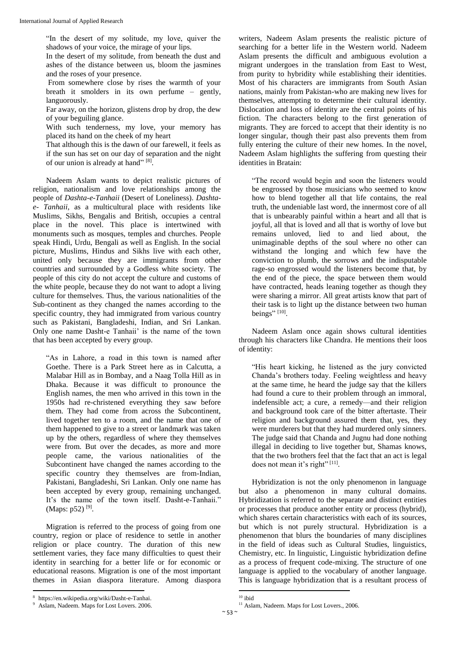"In the desert of my solitude, my love, quiver the shadows of your voice, the mirage of your lips.

In the desert of my solitude, from beneath the dust and ashes of the distance between us, bloom the jasmines and the roses of your presence.

From somewhere close by rises the warmth of your breath it smolders in its own perfume – gently, languorously.

Far away, on the horizon, glistens drop by drop, the dew of your beguiling glance.

With such tenderness, my love, your memory has placed its hand on the cheek of my heart

That although this is the dawn of our farewell, it feels as if the sun has set on our day of separation and the night of our union is already at hand"<sup>[8]</sup>.

Nadeem Aslam wants to depict realistic pictures of religion, nationalism and love relationships among the people of *Dashta-e-Tanhaii* (Desert of Loneliness). *Dashtae- Tanhaii*, as a multicultural place with residents like Muslims, Sikhs, Bengalis and British, occupies a central place in the novel. This place is intertwined with monuments such as mosques, temples and churches. People speak Hindi, Urdu, Bengali as well as English. In the social picture, Muslims, Hindus and Sikhs live with each other, united only because they are immigrants from other countries and surrounded by a Godless white society. The people of this city do not accept the culture and customs of the white people, because they do not want to adopt a living culture for themselves. Thus, the various nationalities of the Sub-continent as they changed the names according to the specific country, they had immigrated from various country such as Pakistani, Bangladeshi, Indian, and Sri Lankan. Only one name Dasht-e Tanhaii' is the name of the town that has been accepted by every group.

"As in Lahore, a road in this town is named after Goethe. There is a Park Street here as in Calcutta, a Malabar Hill as in Bombay, and a Naag Tolla Hill as in Dhaka. Because it was difficult to pronounce the English names, the men who arrived in this town in the 1950s had re-christened everything they saw before them. They had come from across the Subcontinent, lived together ten to a room, and the name that one of them happened to give to a street or landmark was taken up by the others, regardless of where they themselves were from. But over the decades, as more and more people came, the various nationalities of the Subcontinent have changed the names according to the specific country they themselves are from-Indian, Pakistani, Bangladeshi, Sri Lankan. Only one name has been accepted by every group, remaining unchanged. It's the name of the town itself. Dasht-e-Tanhaii." (Maps: p52)<sup>[9]</sup>.

Migration is referred to the process of going from one country, region or place of residence to settle in another religion or place country. The duration of this new settlement varies, they face many difficulties to quest their identity in searching for a better life or for economic or educational reasons. Migration is one of the most important themes in Asian diaspora literature. Among diaspora

writers, Nadeem Aslam presents the realistic picture of searching for a better life in the Western world. Nadeem Aslam presents the difficult and ambiguous evolution a migrant undergoes in the translation from East to West, from purity to hybridity while establishing their identities. Most of his characters are immigrants from South Asian nations, mainly from Pakistan-who are making new lives for themselves, attempting to determine their cultural identity. Dislocation and loss of identity are the central points of his fiction. The characters belong to the first generation of migrants. They are forced to accept that their identity is no longer singular, though their past also prevents them from fully entering the culture of their new homes. In the novel, Nadeem Aslam highlights the suffering from questing their identities in Bratain:

"The record would begin and soon the listeners would be engrossed by those musicians who seemed to know how to blend together all that life contains, the real truth, the undeniable last word, the innermost core of all that is unbearably painful within a heart and all that is joyful, all that is loved and all that is worthy of love but remains unloved, lied to and lied about, the unimaginable depths of the soul where no other can withstand the longing and which few have the conviction to plumb, the sorrows and the indisputable rage-so engrossed would the listeners become that, by the end of the piece, the space between them would have contracted, heads leaning together as though they were sharing a mirror. All great artists know that part of their task is to light up the distance between two human beings"  $[10]$ .

Nadeem Aslam once again shows cultural identities through his characters like Chandra. He mentions their loos of identity:

"His heart kicking, he listened as the jury convicted Chanda's brothers today. Feeling weightless and heavy at the same time, he heard the judge say that the killers had found a cure to their problem through an immoral, indefensible act; a cure, a remedy—and their religion and background took care of the bitter aftertaste. Their religion and background assured them that, yes, they were murderers but that they had murdered only sinners. The judge said that Chanda and Jugnu had done nothing illegal in deciding to live together but, Shamas knows, that the two brothers feel that the fact that an act is legal does not mean it's right" $[11]$ .

Hybridization is not the only phenomenon in language but also a phenomenon in many cultural domains. Hybridization is referred to the separate and distinct entities or processes that produce another entity or process (hybrid), which shares certain characteristics with each of its sources, but which is not purely structural. Hybridization is a phenomenon that blurs the boundaries of many disciplines in the field of ideas such as Cultural Studies, linguistics, Chemistry, etc. In linguistic, Linguistic hybridization define as a process of frequent code-mixing. The structure of one language is applied to the vocabulary of another language. This is language hybridization that is a resultant process of

 $\overline{a}$ 

<sup>8</sup> https://en.wikipedia.org/wiki/Dasht-e-Tanhai.

<sup>9</sup> Aslam, Nadeem. Maps for Lost Lovers. 2006.

 $\overline{a}$  $10$  ibid

<sup>&</sup>lt;sup>11</sup> Aslam, Nadeem. Maps for Lost Lovers., 2006.